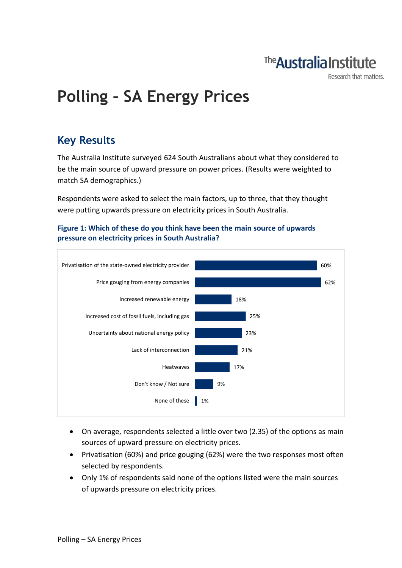

Research that matters.

# **Polling – SA Energy Prices**

### **Key Results**

The Australia Institute surveyed 624 South Australians about what they considered to be the main source of upward pressure on power prices. (Results were weighted to match SA demographics.)

Respondents were asked to select the main factors, up to three, that they thought were putting upwards pressure on electricity prices in South Australia.





- On average, respondents selected a little over two (2.35) of the options as main sources of upward pressure on electricity prices.
- Privatisation (60%) and price gouging (62%) were the two responses most often selected by respondents.
- Only 1% of respondents said none of the options listed were the main sources of upwards pressure on electricity prices.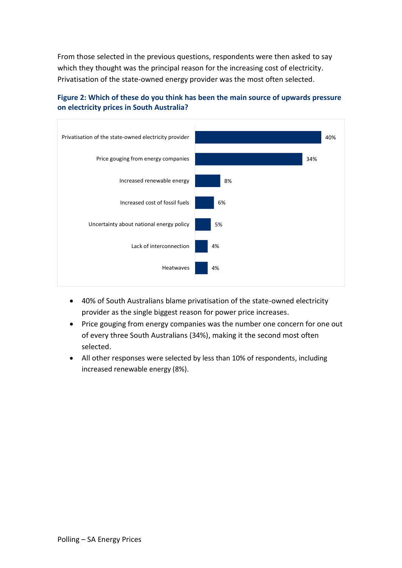From those selected in the previous questions, respondents were then asked to say which they thought was the principal reason for the increasing cost of electricity. Privatisation of the state-owned energy provider was the most often selected.



#### **Figure 2: Which of these do you think has been the main source of upwards pressure on electricity prices in South Australia?**

- 40% of South Australians blame privatisation of the state-owned electricity provider as the single biggest reason for power price increases.
- Price gouging from energy companies was the number one concern for one out of every three South Australians (34%), making it the second most often selected.
- All other responses were selected by less than 10% of respondents, including increased renewable energy (8%).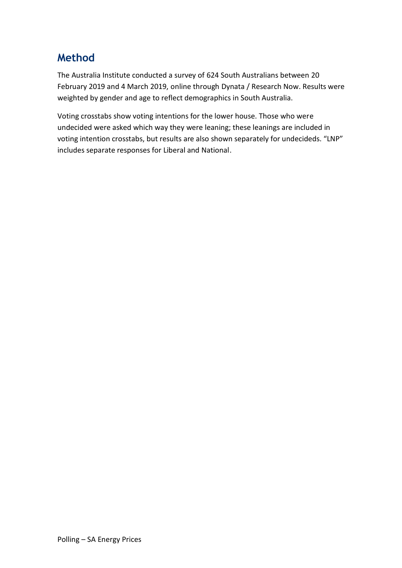## **Method**

The Australia Institute conducted a survey of 624 South Australians between 20 February 2019 and 4 March 2019, online through Dynata / Research Now. Results were weighted by gender and age to reflect demographics in South Australia.

Voting crosstabs show voting intentions for the lower house. Those who were undecided were asked which way they were leaning; these leanings are included in voting intention crosstabs, but results are also shown separately for undecideds. "LNP" includes separate responses for Liberal and National.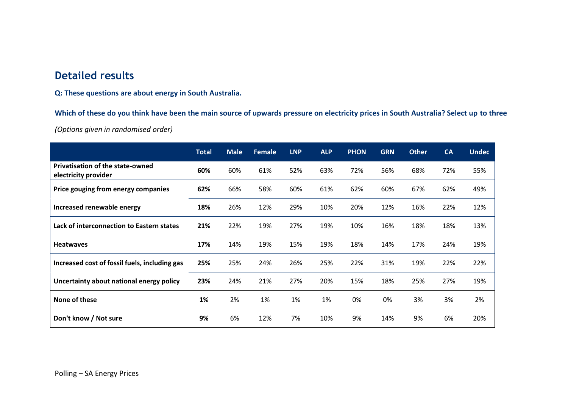### **Detailed results**

**Q: These questions are about energy in South Australia.**

**Which of these do you think have been the main source of upwards pressure on electricity prices in South Australia? Select up to three**

*(Options given in randomised order)*

|                                                                 | <b>Total</b> | <b>Male</b> | Female | <b>LNP</b> | <b>ALP</b> | <b>PHON</b> | <b>GRN</b> | <b>Other</b> | <b>CA</b> | <b>Undec</b> |
|-----------------------------------------------------------------|--------------|-------------|--------|------------|------------|-------------|------------|--------------|-----------|--------------|
| <b>Privatisation of the state-owned</b><br>electricity provider | 60%          | 60%         | 61%    | 52%        | 63%        | 72%         | 56%        | 68%          | 72%       | 55%          |
| Price gouging from energy companies                             | 62%          | 66%         | 58%    | 60%        | 61%        | 62%         | 60%        | 67%          | 62%       | 49%          |
| Increased renewable energy                                      | 18%          | 26%         | 12%    | 29%        | 10%        | 20%         | 12%        | 16%          | 22%       | 12%          |
| Lack of interconnection to Eastern states                       | 21%          | 22%         | 19%    | 27%        | 19%        | 10%         | 16%        | 18%          | 18%       | 13%          |
| <b>Heatwaves</b>                                                | 17%          | 14%         | 19%    | 15%        | 19%        | 18%         | 14%        | 17%          | 24%       | 19%          |
| Increased cost of fossil fuels, including gas                   | 25%          | 25%         | 24%    | 26%        | 25%        | 22%         | 31%        | 19%          | 22%       | 22%          |
| Uncertainty about national energy policy                        | 23%          | 24%         | 21%    | 27%        | 20%        | 15%         | 18%        | 25%          | 27%       | 19%          |
| None of these                                                   | 1%           | 2%          | 1%     | 1%         | 1%         | 0%          | 0%         | 3%           | 3%        | 2%           |
| Don't know / Not sure                                           | 9%           | 6%          | 12%    | 7%         | 10%        | 9%          | 14%        | 9%           | 6%        | 20%          |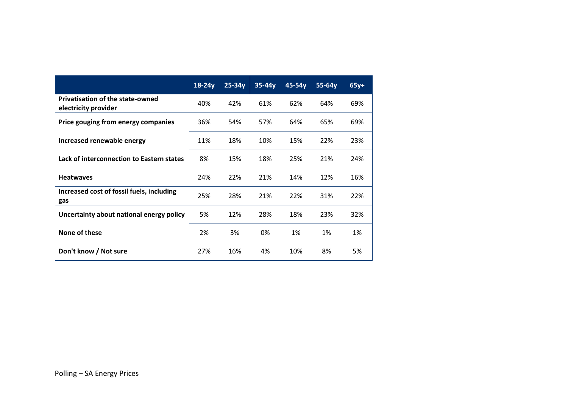|                                                                 | $18-24y$ | $25 - 34y$ | $35-44y$ | $45-54y$ | $55-64y$ | $65y+$ |
|-----------------------------------------------------------------|----------|------------|----------|----------|----------|--------|
| <b>Privatisation of the state-owned</b><br>electricity provider | 40%      | 42%        | 61%      | 62%      | 64%      | 69%    |
| Price gouging from energy companies                             | 36%      | 54%        | 57%      | 64%      | 65%      | 69%    |
| Increased renewable energy                                      | 11%      | 18%        | 10%      | 15%      | 22%      | 23%    |
| Lack of interconnection to Eastern states                       | 8%       | 15%        | 18%      | 25%      | 21%      | 24%    |
| <b>Heatwaves</b>                                                | 24%      | 22%        | 21%      | 14%      | 12%      | 16%    |
| Increased cost of fossil fuels, including<br>gas                | 25%      | 28%        | 21%      | 22%      | 31%      | 22%    |
| Uncertainty about national energy policy                        | 5%       | 12%        | 28%      | 18%      | 23%      | 32%    |
| None of these                                                   | 2%       | 3%         | 0%       | 1%       | 1%       | 1%     |
| Don't know / Not sure                                           | 27%      | 16%        | 4%       | 10%      | 8%       | 5%     |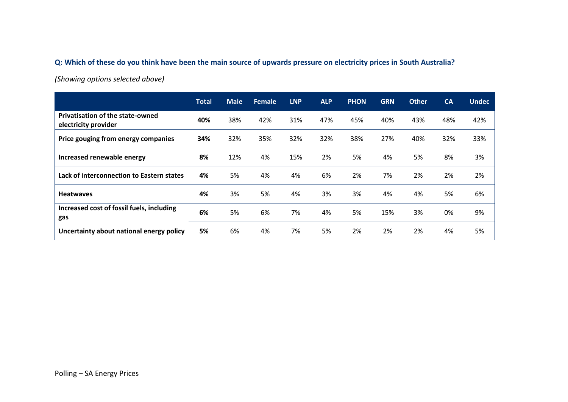#### **Q: Which of these do you think have been the main source of upwards pressure on electricity prices in South Australia?**

*(Showing options selected above)*

|                                                                 | <b>Total</b> | <b>Male</b> | <b>Female</b> | <b>LNP</b> | <b>ALP</b> | <b>PHON</b> | <b>GRN</b> | <b>Other</b> | CA  | <b>Undec</b> |
|-----------------------------------------------------------------|--------------|-------------|---------------|------------|------------|-------------|------------|--------------|-----|--------------|
| <b>Privatisation of the state-owned</b><br>electricity provider | 40%          | 38%         | 42%           | 31%        | 47%        | 45%         | 40%        | 43%          | 48% | 42%          |
| Price gouging from energy companies                             | 34%          | 32%         | 35%           | 32%        | 32%        | 38%         | 27%        | 40%          | 32% | 33%          |
| Increased renewable energy                                      | 8%           | 12%         | 4%            | 15%        | 2%         | 5%          | 4%         | 5%           | 8%  | 3%           |
| Lack of interconnection to Eastern states                       | 4%           | 5%          | 4%            | 4%         | 6%         | 2%          | 7%         | 2%           | 2%  | 2%           |
| <b>Heatwaves</b>                                                | 4%           | 3%          | 5%            | 4%         | 3%         | 3%          | 4%         | 4%           | 5%  | 6%           |
| Increased cost of fossil fuels, including<br>gas                | 6%           | 5%          | 6%            | 7%         | 4%         | 5%          | 15%        | 3%           | 0%  | 9%           |
| Uncertainty about national energy policy                        | 5%           | 6%          | 4%            | 7%         | 5%         | 2%          | 2%         | 2%           | 4%  | 5%           |